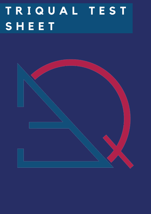# **T R I Q U A L T E S T S H E E T**

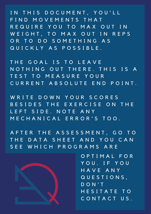IN THIS DOCUMENT, YOU'LL F I N D M O V E M E N T S T H A T R E Q U I R E Y O U T O M A X O U T I N W E I G H T, TO MAX OUT IN REPS OR TO DO SOMETHING AS Q U I C K L Y A S P O S S I B L E.

THE GOAL IS TO LEAVE NOTHING OUT THERE. THIS IS A TEST TO MEASURE YOUR C U R R E N T A B S O L U T E E N D P O I N T.

WRITE DOWN YOUR SCORES B E S I D E S T H E E X E R C I S E O N T H E L E F T S I D E . N O T E A N Y M E C H A N I C A L E R R O R ' S T O O .

A F T E R T H E A S S E S S M E N T, G O T O THE DATA SHEET AND YOU CAN SEE WHICH PROGRAMS ARE



O P T I M A L F O R YOU. IF YOU H A V E A N Y Q U E S T I O N S , D O N ' T H E S I T A T E T O CONTACT US.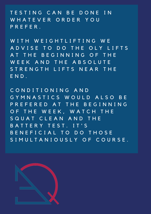T E S T I N G C A N B E D O N E I N WHATEVER ORDER YOU P R E F E R .

WITH WEIGHTLIFTING WE A D V I S E T O D O T H E O L Y L I F T S AT THE BEGINNING OF THE WEEK AND THE ABSOLUTE STRENGTH LIFTS NEAR THE E N D .

C O N D I T I O N I N G A N D G Y M N A S T I C S W O U L D A L S O B E P R E F E R E D A T T H E B E G I N N I N G OF THE WEEK, WATCH THE S Q U A T C L E A N A N D T H E B A T T E R Y T E S T . I T 'S B E N E F I C I A L T O D O T H O S E SIMULTANIOUSLY OF COURSE.

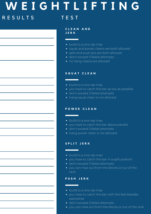# **W E I G H T L I F T I N G** R E S U L T S T T E S T

**C L E A N A N D J E R K**

- build to a one rep max
- squat and power cleans are both allowed
- split and push jers are both allowed
- don't exceed 3 failed attempts
- no hang cleans are allowed

#### **S Q U A T C L E A N**

- build to a one rep max
- you have to catch the bar as low as possible
- don't exceed 3 failed attempts
- hang squat clean is not allowed

#### **P O W E R C L E A N**

- build to a one rep max
- you have to catch the bar above parallel
- don't exceed 3 failed attempts
- hang power clean is not allowed

#### **S P L I T J E R K**

- build to a one rep max
- you have to catch the bar in a split position
- don't exceed 3 failed attempts
- you can max out from the blocks or out of the rack

#### **P U S H J E R K**

- build to a one rep max
- you have to catch the bar with the feet besides eachother
- don't exceed 3 failed attempts
- you can max out from the blocks or out of the rack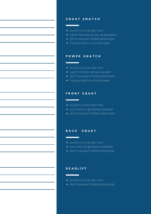#### **S Q U A T S N A T C H**

- build to a one rep max
- catch the bar as low as possible
- don't exceed 3 failed attempts
- hang snatch is not allowed

#### **P O W E R S N A T C H**

- build to a one rep max
- catch the bar above parallel
- don't exceed 3 failed attempts
- hang snatch is not allowed

#### **F R O N T S Q U A T**

- build to a one rep max
- you have to go below parallel
- don't exceed 3 failed attempts

#### **B A C K S Q U A T**

- build to a one rep max
- you have to go below parallel
- don't exceed 3 failed attempts

#### **D E A D L I F T**

- build to a one rep max
- don't exceed 3 failed attempts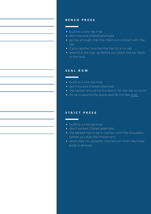#### **B E N C H P R E S S**

- build to a one rep max
- don't exceed 3 failed attempts
- go low enough that the chest is in contact with the bar
- if your spotter touches the bar it's a no rep
- extend al the way up before you place the bar back in the rack

#### **S E A L R O W**

- build to a one rep max
- don't exceed 3 failed attempts
- the barbell should hit the bench for the rep to count
- it's ok to extend the spine and lift the feet a bit

#### **S T R I C T P R E S S**

- build to a one rep max
- don't exceed 3 failed attempts
- the barbell has to be in contact with the shoulders before you start the movement
- absolutely no upwards momentum from the lower body is allowed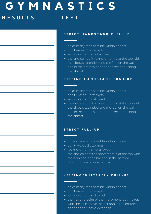# **G Y M N A S T I C S** R E S U L T S T E S T

#### **S T R I C T H A N D S T A N D P U S H - U P**

- do as many reps possible within one set
- don't exceed 2 attempts
- leg movement is not allowed
- the end point of the movement is at the top with the elbows extended and the feet on the wall and in the bottom position the head touching the abmat.

#### **K I P P I N G H A N D S T A N D P U S H - U P**

- do as many reps possible within one set
- don't exceed 2 attempts
- leg movement is allowed
- the end point of the movement is at the top with the elbows extended and the feet on the wall and in the bottom position the head touching the abmat.

#### **S T R I C T P U L L - U P**

- do as many reps possible within one set
- don't exceed 2 attempts
- leg movement is not allowed
- the end point of the movement is at the top with the chin above the bar and in the bottom position the elbows extended.

#### **K I P P I N G / B U T T E R F L Y P U L L - U P**

- do as many reps possible within one set
- don't exceed 2 attempts
- leg movement is allowed
- the two end point of the movement is at the top with the chin above the bar and in the bottom position the elbows extended.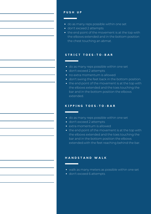#### **P U S H U P**

- do as many reps possible within one set
- don't exceed 2 attempts
- the end point of the movement is at the top with the elbows extended and in the bottom position the chest touching an abmat.

#### **S T R I C T T O E S - T O - B A R**

- do as many reps possible within one set
- don't exceed 2 attempts
- no extra momentum is allowed
- don't swing the feet back in the bottom position.
- the end point of the movement is at the top with the elbows extended and the toes touching the bar and in the bottom position the elbows extended.

#### **K I P P I N G T O E S - T O - B A R**

- do as many reps possible within one set
- don't exceed 2 attempts
- extra momentum is allowed
- the end point of the movement is at the top with the elbows extended and the toes touching the bar and in the bottom position the elbows extended.with the feet reaching behind the bar.

#### **H A N D S T A N D W A L K**

- walk as many meters as possible within one set
- don't exceed 6 attempts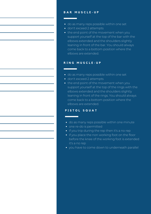#### **B A R M U S C L E - U P**

- do as many reps possible within one set
- don't exceed 2 attempts
- the end point of the movement when you support yourself at the top of the bar with the elbows extended and the shoulders slightly leaning in front of the bar. You should always come back to a bottom position where the elbows are extended.

#### **R I N G M U S C L E - U P**

- do as many reps possible within one set
- don't exceed 2 attempts
- the end point of the movement when you support yourself at the top of the rings with the elbows extended and the shoulders slightly leaning in front of the rings. You should always come back to a bottom position where the elbows are extended.

#### **P I S T O L S Q U A T**

- do as many reps possible within one minute
- one re-do is permitted
- if you trip during the rep then it's a no rep
- if you place the non working foot on the floor before the knee of the working foot is extended it's a no rep
- you have to come down to underneath parallel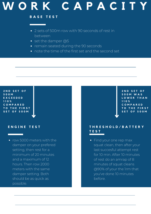# **W O R K C A P A C I T Y**

#### **B A S E T E S T**

- 2 sets of 500m row with 90 seconds of rest in between
- set the damper @5
- remain seated during the 90 seconds
- note the time of the first set and the second set

#### **2 N D S E T O F 5 0 0 M E X C E E D E D 1 1 0 % C O M P A R E D T O T H E F I R S T S E T O F 5 0 0 M**

#### **E N G I N E T E S T**

• row 5000 meters with the damper on your prefered setting, then rest for a minimum of 20 minutes and a maximum of 12 hours. Then row 2000 meters with the same damper setting. Both should be as quick as possible.

#### **2 N D S E T O F 5 0 0 M W A S L O W E R T H A N 1 1 0 % C O M P A R E D T O T H E F I R S T S E T O F 5 0 0 M**

#### **T H R E S H O L D / B A T T E R Y T E S T**

• Find your one rep max squat clean, then after your last succesful attempt rest for 10 min. After 10 minutes of rest do an amrap of 8 minutes of squat cleans @90% of your the 1rm that you've done 10 minutes before.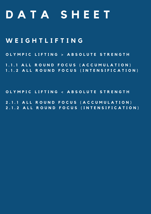# **D A T A S H E E T**

### **W E I G H T L I F T I N G**

OLYMPIC LIFTING > ABSOLUTE STRENGTH

1.1.1 ALL ROUND FOCUS (ACCUMULATION) 1.1.2 ALL ROUND FOCUS (INTENSIFICATION)

OLYMPIC LIFTING < ABSOLUTE STRENGTH

2.1.1 ALL ROUND FOCUS (ACCUMULATION) 2.1.2 ALL ROUND FOCUS (INTENSIFICATION)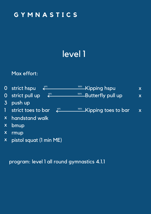# level 1

60% 100%

60% 100%

Kipping hspu

Kipping toes to bar 60% 100%

Butterfly pull up

x

x

x

### Max effort:

- 0 strict hspu
- strict pull up 0
- 3 push up
- strict toes to bar 1
- handstand walk x
- bmup x
- rmup x
- pistol squat (1 min ME) x

program: level 1 all round gymnastics 4.1.1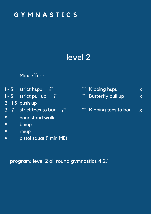# level 2

### Max effort:

|                         | $\frac{60\%}{2}$<br>$1 - 5$ strict hspu | 100%<br><b>Kipping hspu</b>                | X                       |
|-------------------------|-----------------------------------------|--------------------------------------------|-------------------------|
|                         | 60%<br>1 - 5 strict pull up             | 100%<br>Butterfly pull up                  | $\overline{\mathsf{X}}$ |
|                         | $3 - 15$ push up                        |                                            |                         |
|                         | 3 - 7 strict toes to bar<br>60%         | <u><sup>100%</sup> Kipping toes to bar</u> | $\overline{\mathsf{X}}$ |
| X                       | handstand walk                          |                                            |                         |
| $\overline{\mathbf{X}}$ | bmup                                    |                                            |                         |
| $\boldsymbol{X}$        | rmup                                    |                                            |                         |
| $\boldsymbol{X}$        | pistol squat (1 min ME)                 |                                            |                         |

program: level 2 all round gymnastics 4.2.1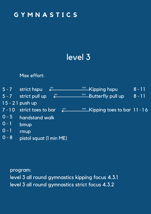# level 3

### Max effort:



#### program:

level 3 all round gymnastics kipping focus 4.3.1 level 3 all round gymnastics strict focus 4.3.2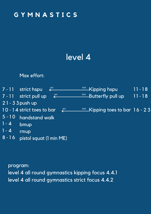## level 4

### Max effort:



program: level 4 all round gymnastics kipping focus 4.4.1 level 4 all round gymnastics strict focus 4.4.2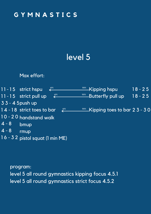# level 5

### Max effort:



program: level 5 all round gymnastics kipping focus 4.5.1 level 5 all round gymnastics strict focus 4.5.2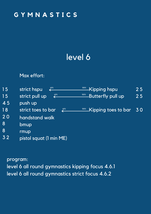# level 6

### Max effort:

| 15 | 60%<br>strict hspu          | -Kipping hspu                          | 25 |
|----|-----------------------------|----------------------------------------|----|
| 15 | $^{60\%}$<br>strict pull up | 100%<br>Butterfly pull up              | 25 |
| 45 | push up                     |                                        |    |
| 18 | strict toes to bar<br>60%   | <b><u>100% Kipping</u></b> toes to bar | 30 |
| 20 | handstand walk              |                                        |    |
| 8  | bmup                        |                                        |    |
| 8  | rmup                        |                                        |    |
| 32 | pistol squat (1 min ME)     |                                        |    |

program:

level 6 all round gymnastics kipping focus 4.6.1 level 6 all round gymnastics strict focus 4.6.2